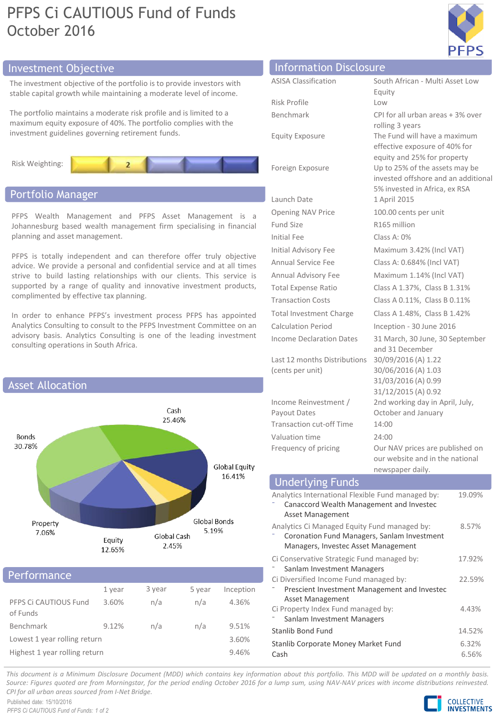# PFPS Ci CAUTIOUS Fund of Funds October 2016



# **Investment Objective**

The investment objective of the portfolio is to provide investors with stable capital growth while maintaining a moderate level of income.

The portfolio maintains a moderate risk profile and is limited to a maximum equity exposure of 40%. The portfolio complies with the investment guidelines governing retirement funds.



# Portfolio Manager

PFPS Wealth Management and PFPS Asset Management is a Johannesburg based wealth management firm specialising in financial planning and asset management.

PFPS is totally independent and can therefore offer truly objective advice. We provide a personal and confidential service and at all times strive to build lasting relationships with our clients. This service is supported by a range of quality and innovative investment products, complimented by effective tax planning.

In order to enhance PFPS's investment process PFPS has appointed Analytics Consulting to consult to the PFPS Investment Committee on an advisory basis. Analytics Consulting is one of the leading investment consulting operations in South Africa.



|  |  | Performance |  |
|--|--|-------------|--|
|  |  |             |  |
|  |  |             |  |
|  |  |             |  |

|                                   | 1 year | 3 year | 5 year | Inception |
|-----------------------------------|--------|--------|--------|-----------|
| PFPS Ci CAUTIOUS Fund<br>of Funds | 3.60%  | n/a    | n/a    | 4.36%     |
| Benchmark                         | 9.12%  | n/a    | n/a    | 9.51%     |
| Lowest 1 year rolling return      |        |        | 3.60%  |           |
| Highest 1 year rolling return     |        |        |        | 9.46%     |
|                                   |        |        |        |           |

| <b>Information Disclosure</b>   |                                                               |  |  |  |
|---------------------------------|---------------------------------------------------------------|--|--|--|
| <b>ASISA Classification</b>     | South African - Multi Asset Low                               |  |  |  |
|                                 | Equity                                                        |  |  |  |
| <b>Risk Profile</b>             | Low                                                           |  |  |  |
| Benchmark                       | CPI for all urban areas + 3% over                             |  |  |  |
|                                 | rolling 3 years                                               |  |  |  |
| <b>Equity Exposure</b>          | The Fund will have a maximum<br>effective exposure of 40% for |  |  |  |
|                                 | equity and 25% for property                                   |  |  |  |
| Foreign Exposure                | Up to 25% of the assets may be                                |  |  |  |
|                                 | invested offshore and an additional                           |  |  |  |
|                                 | 5% invested in Africa, ex RSA                                 |  |  |  |
| Launch Date                     | 1 April 2015                                                  |  |  |  |
| Opening NAV Price               | 100.00 cents per unit                                         |  |  |  |
| <b>Fund Size</b>                | R165 million                                                  |  |  |  |
| <b>Initial Fee</b>              | Class A: 0%                                                   |  |  |  |
| Initial Advisory Fee            | Maximum 3.42% (Incl VAT)                                      |  |  |  |
| Annual Service Fee              | Class A: 0.684% (Incl VAT)                                    |  |  |  |
| Annual Advisory Fee             | Maximum 1.14% (Incl VAT)                                      |  |  |  |
| <b>Total Expense Ratio</b>      | Class A 1.37%, Class B 1.31%                                  |  |  |  |
| <b>Transaction Costs</b>        | Class A 0.11%, Class B 0.11%                                  |  |  |  |
| <b>Total Investment Charge</b>  | Class A 1.48%, Class B 1.42%                                  |  |  |  |
| <b>Calculation Period</b>       | Inception - 30 June 2016                                      |  |  |  |
| <b>Income Declaration Dates</b> | 31 March, 30 June, 30 September                               |  |  |  |
|                                 | and 31 December                                               |  |  |  |
| Last 12 months Distributions    | 30/09/2016 (A) 1.22                                           |  |  |  |
| (cents per unit)                | 30/06/2016 (A) 1.03                                           |  |  |  |
|                                 | 31/03/2016 (A) 0.99<br>31/12/2015 (A) 0.92                    |  |  |  |
| Income Reinvestment /           | 2nd working day in April, July,                               |  |  |  |
| Payout Dates                    | October and January                                           |  |  |  |
| <b>Transaction cut-off Time</b> | 14:00                                                         |  |  |  |
| Valuation time                  | 24:00                                                         |  |  |  |

| newspaper daily.                                                                                                                   |                |
|------------------------------------------------------------------------------------------------------------------------------------|----------------|
| <b>Underlying Funds</b>                                                                                                            |                |
| Analytics International Flexible Fund managed by:<br>Canaccord Wealth Management and Investec<br>Asset Management                  | 19.09%         |
| Analytics Ci Managed Equity Fund managed by:<br>Coronation Fund Managers, Sanlam Investment<br>Managers, Investec Asset Management | 8.57%          |
| Ci Conservative Strategic Fund managed by:<br>Sanlam Investment Managers                                                           | 17.92%         |
| Ci Diversified Income Fund managed by:<br>Prescient Investment Management and Investec<br>Asset Management                         | 22.59%         |
| Ci Property Index Fund managed by:<br>Sanlam Investment Managers                                                                   | 4.43%          |
| Stanlib Bond Fund                                                                                                                  | 14.52%         |
| Stanlib Corporate Money Market Fund<br>Cash                                                                                        | 6.32%<br>6.56% |

Frequency of pricing Our NAV prices are published on

our website and in the national

This document is a Minimum Disclosure Document (MDD) which contains key information about this portfolio. This MDD will be updated on a monthly basis. Source: Figures guoted are from Morningstar, for the period ending October 2016 for a lump sum, using NAV-NAV prices with income distributions reinvested. *CPI for all urban areas sourced from I-Net Bridge.*

Published date: 15/10/2016 *PFPS Ci CAUTIOUS Fund of Funds: 1 of 2*